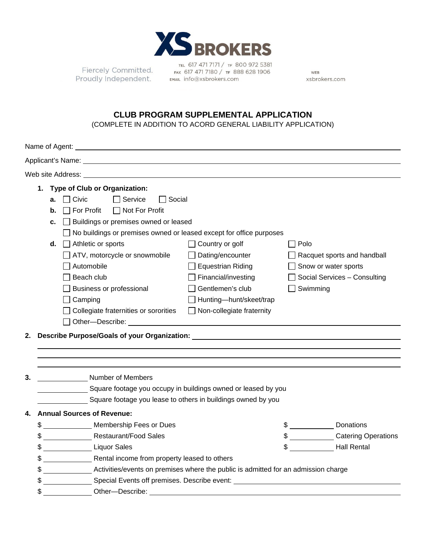

Fiercely Committed. Proudly Independent. EMAL info@xsbrokers.com

TEL 617 471 7171 / TF 800 972 5381 FAX 617 471 7180 / TF 888 628 1906

WEB xsbrokers.com

# **CLUB PROGRAM SUPPLEMENTAL APPLICATION**

(COMPLETE IN ADDITION TO ACORD GENERAL LIABILITY APPLICATION)

| Web site Address:                                                                                                                                                                                                                   |                                                                                          |                                                                       |                                                               |                                                              |                      |                              |  |  |  |  |
|-------------------------------------------------------------------------------------------------------------------------------------------------------------------------------------------------------------------------------------|------------------------------------------------------------------------------------------|-----------------------------------------------------------------------|---------------------------------------------------------------|--------------------------------------------------------------|----------------------|------------------------------|--|--|--|--|
|                                                                                                                                                                                                                                     |                                                                                          | <b>Type of Club or Organization:</b><br>1.                            |                                                               |                                                              |                      |                              |  |  |  |  |
|                                                                                                                                                                                                                                     |                                                                                          | $\Box$ Civic<br>Service<br>Social<br>а.                               |                                                               |                                                              |                      |                              |  |  |  |  |
|                                                                                                                                                                                                                                     |                                                                                          | $\Box$ Not For Profit<br>$\Box$ For Profit<br>b.                      |                                                               |                                                              |                      |                              |  |  |  |  |
|                                                                                                                                                                                                                                     |                                                                                          | □ Buildings or premises owned or leased<br>с.                         |                                                               |                                                              |                      |                              |  |  |  |  |
|                                                                                                                                                                                                                                     |                                                                                          | □ No buildings or premises owned or leased except for office purposes |                                                               |                                                              |                      |                              |  |  |  |  |
|                                                                                                                                                                                                                                     |                                                                                          | d.                                                                    | $\Box$ Athletic or sports                                     | $\Box$ Country or golf                                       | $\Box$ Polo          |                              |  |  |  |  |
|                                                                                                                                                                                                                                     |                                                                                          |                                                                       | ATV, motorcycle or snowmobile                                 | Dating/encounter                                             |                      | Racquet sports and handball  |  |  |  |  |
|                                                                                                                                                                                                                                     |                                                                                          |                                                                       | $\Box$ Automobile                                             | <b>Equestrian Riding</b>                                     | Snow or water sports |                              |  |  |  |  |
|                                                                                                                                                                                                                                     |                                                                                          |                                                                       | $\sqcap$ Beach club                                           | Financial/investing                                          |                      | Social Services - Consulting |  |  |  |  |
|                                                                                                                                                                                                                                     | Business or professional                                                                 |                                                                       |                                                               | Gentlemen's club                                             | $\Box$ Swimming      |                              |  |  |  |  |
|                                                                                                                                                                                                                                     | Camping                                                                                  |                                                                       |                                                               | Hunting-hunt/skeet/trap                                      |                      |                              |  |  |  |  |
|                                                                                                                                                                                                                                     | $\Box$ Collegiate fraternities or sororities                                             |                                                                       |                                                               | $\Box$ Non-collegiate fraternity                             |                      |                              |  |  |  |  |
|                                                                                                                                                                                                                                     |                                                                                          |                                                                       |                                                               |                                                              |                      |                              |  |  |  |  |
| Describe Purpose/Goals of your Organization: Description of the control of the control of the control of the control of the control of the control of the control of the control of the control of the control of the control<br>2. |                                                                                          |                                                                       |                                                               |                                                              |                      |                              |  |  |  |  |
|                                                                                                                                                                                                                                     |                                                                                          |                                                                       |                                                               |                                                              |                      |                              |  |  |  |  |
|                                                                                                                                                                                                                                     |                                                                                          |                                                                       |                                                               |                                                              |                      |                              |  |  |  |  |
|                                                                                                                                                                                                                                     |                                                                                          |                                                                       |                                                               |                                                              |                      |                              |  |  |  |  |
| 3.                                                                                                                                                                                                                                  |                                                                                          |                                                                       | Number of Members                                             |                                                              |                      |                              |  |  |  |  |
|                                                                                                                                                                                                                                     |                                                                                          |                                                                       | Square footage you occupy in buildings owned or leased by you |                                                              |                      |                              |  |  |  |  |
|                                                                                                                                                                                                                                     |                                                                                          |                                                                       |                                                               | Square footage you lease to others in buildings owned by you |                      |                              |  |  |  |  |
| 4.                                                                                                                                                                                                                                  |                                                                                          |                                                                       | <b>Annual Sources of Revenue:</b>                             |                                                              |                      |                              |  |  |  |  |
|                                                                                                                                                                                                                                     |                                                                                          |                                                                       | Membership Fees or Dues<br>$\frac{1}{2}$                      |                                                              |                      | Donations                    |  |  |  |  |
|                                                                                                                                                                                                                                     | \$                                                                                       |                                                                       | <b>Restaurant/Food Sales</b>                                  |                                                              |                      | \$ Catering Operations       |  |  |  |  |
|                                                                                                                                                                                                                                     |                                                                                          |                                                                       | \$ Liquor Sales                                               |                                                              | $\sim$               | <b>Hall Rental</b>           |  |  |  |  |
|                                                                                                                                                                                                                                     | \$                                                                                       | Rental income from property leased to others                          |                                                               |                                                              |                      |                              |  |  |  |  |
|                                                                                                                                                                                                                                     | \$<br>Activities/events on premises where the public is admitted for an admission charge |                                                                       |                                                               |                                                              |                      |                              |  |  |  |  |
|                                                                                                                                                                                                                                     | Special Events off premises. Describe event: ___________________________________<br>\$   |                                                                       |                                                               |                                                              |                      |                              |  |  |  |  |
|                                                                                                                                                                                                                                     | \$<br>Other-Describe:                                                                    |                                                                       |                                                               |                                                              |                      |                              |  |  |  |  |